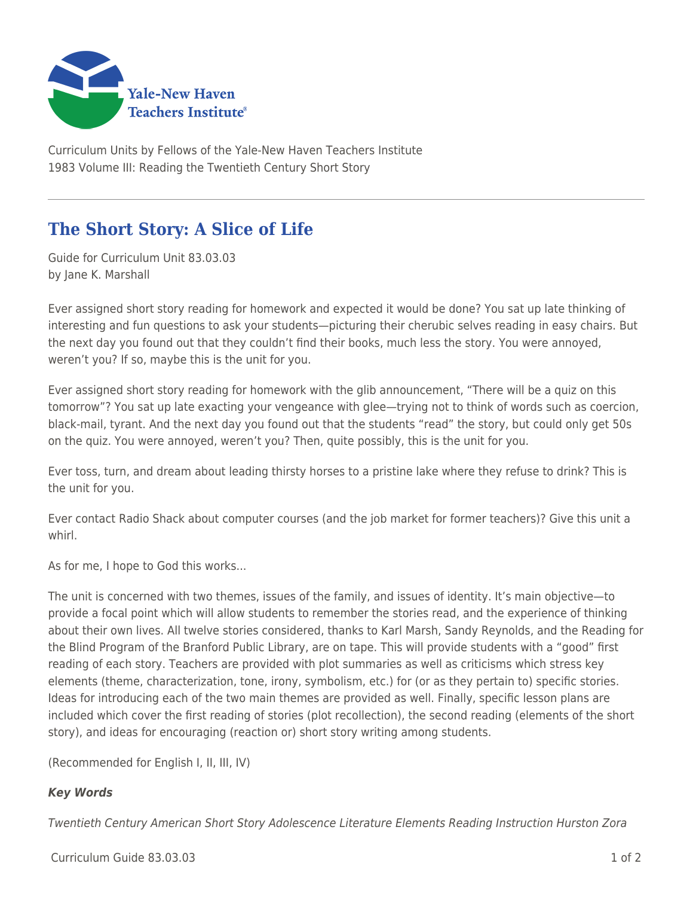

Curriculum Units by Fellows of the Yale-New Haven Teachers Institute 1983 Volume III: Reading the Twentieth Century Short Story

## **The Short Story: A Slice of Life**

Guide for Curriculum Unit 83.03.03 by Jane K. Marshall

Ever assigned short story reading for homework and expected it would be done? You sat up late thinking of interesting and fun questions to ask your students—picturing their cherubic selves reading in easy chairs. But the next day you found out that they couldn't find their books, much less the story. You were annoyed, weren't you? If so, maybe this is the unit for you.

Ever assigned short story reading for homework with the glib announcement, "There will be a quiz on this tomorrow"? You sat up late exacting your vengeance with glee—trying not to think of words such as coercion, black-mail, tyrant. And the next day you found out that the students "read" the story, but could only get 50s on the quiz. You were annoyed, weren't you? Then, quite possibly, this is the unit for you.

Ever toss, turn, and dream about leading thirsty horses to a pristine lake where they refuse to drink? This is the unit for you.

Ever contact Radio Shack about computer courses (and the job market for former teachers)? Give this unit a whirl.

As for me, I hope to God this works...

The unit is concerned with two themes, issues of the family, and issues of identity. It's main objective—to provide a focal point which will allow students to remember the stories read, and the experience of thinking about their own lives. All twelve stories considered, thanks to Karl Marsh, Sandy Reynolds, and the Reading for the Blind Program of the Branford Public Library, are on tape. This will provide students with a "good" first reading of each story. Teachers are provided with plot summaries as well as criticisms which stress key elements (theme, characterization, tone, irony, symbolism, etc.) for (or as they pertain to) specific stories. Ideas for introducing each of the two main themes are provided as well. Finally, specific lesson plans are included which cover the first reading of stories (plot recollection), the second reading (elements of the short story), and ideas for encouraging (reaction or) short story writing among students.

(Recommended for English I, II, III, IV)

## *Key Words*

Twentieth Century American Short Story Adolescence Literature Elements Reading Instruction Hurston Zora